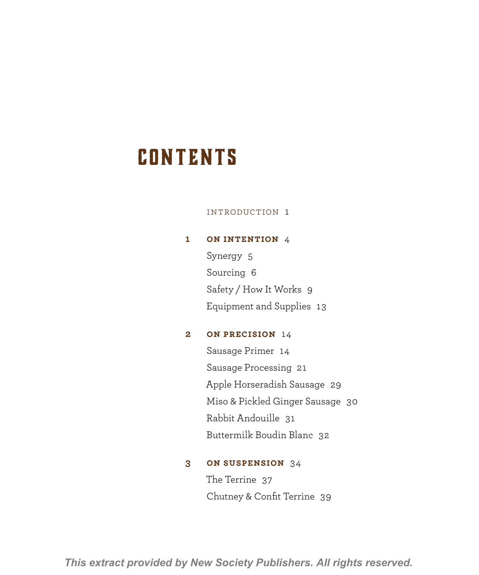# **CONTENTS**

#### Introduction 1

# **1 On Intention** 4

Synergy 5 Sourcing 6 Safety / How It Works 9 Equipment and Supplies 13

# **2 On Precision** 14

Sausage Primer 14 Sausage Processing 21 Apple Horseradish Sausage 29 Miso & Pickled Ginger Sausage 30 Rabbit Andouille 31 Buttermilk Boudin Blanc 32

# **3 On Suspension** 34

The Terrine 37 Chutney & Confit Terrine 39

*This extract provided by New Society Publishers. All rights reserved.*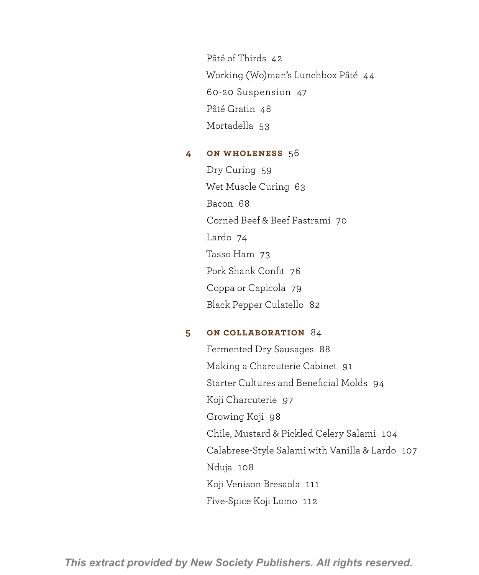Pâté of Thirds 42 Working (Wo)man's Lunchbox Pâté 44 60-20 Suspension 47 Pâté Gratin 48 Mortadella 53

# **4 On Wholeness** 56

Dry Curing 59 Wet Muscle Curing 63 Bacon 68 Corned Beef & Beef Pastrami 70 Lardo 74 Tasso Ham 73 Pork Shank Confit 76 Coppa or Capicola 79 Black Pepper Culatello 82

## **5 On Collaboration** 84

Fermented Dry Sausages 88 Making a Charcuterie Cabinet 91 Starter Cultures and Beneficial Molds 94 Koji Charcuterie 97 Growing Koji 98 Chile, Mustard & Pickled Celery Salami 104 Calabrese-Style Salami with Vanilla & Lardo 107 Nduja 108 Koji Venison Bresaola 111 Five-Spice Koji Lomo 112

*This extract provided by New Society Publishers. All rights reserved.*